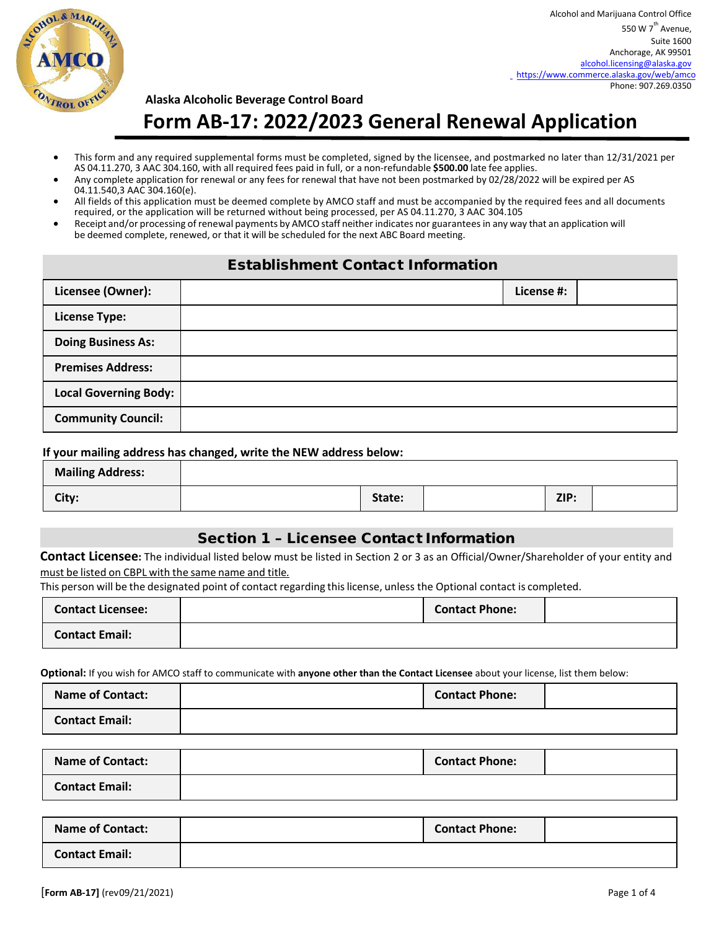

# **Alaska Alcoholic Beverage Control Board Form AB-17: 2022/2023 General Renewal Application**

- This form and any required supplemental forms must be completed, signed by the licensee, and postmarked no later than 12/31/2021 per AS 04.11.270, 3 AAC 304.160, with all required fees paid in full, or a non-refundable **\$500.00** late fee applies.
- Any complete application for renewal or any fees for renewal that have not been postmarked by 02/28/2022 will be expired per AS 04.11.540,3 AAC 304.160(e).
- All fields of this application must be deemed complete by AMCO staff and must be accompanied by the required fees and all documents required, or the application will be returned without being processed, per AS 04.11.270, 3 AAC 304.105
- Receipt and/or processing ofrenewal payments by AMCO staff neither indicates nor guaranteesin any way that an application will be deemed complete, renewed, or that it will be scheduled for the next ABC Board meeting.

## Establishment Contact Information

| Licensee (Owner):            | License #: |  |
|------------------------------|------------|--|
| <b>License Type:</b>         |            |  |
| <b>Doing Business As:</b>    |            |  |
| <b>Premises Address:</b>     |            |  |
| <b>Local Governing Body:</b> |            |  |
| <b>Community Council:</b>    |            |  |

#### **If your mailing address has changed, write the NEW address below:**

| <b>Mailing Address:</b> |        |      |  |
|-------------------------|--------|------|--|
| City:                   | State: | ZIP: |  |

## Section 1 – Licensee Contact Information

**Contact Licensee:** The individual listed below must be listed in Section 2 or 3 as an Official/Owner/Shareholder of your entity and must be listed on CBPL with the same name and title*.* 

This person will be the designated point of contact regarding thislicense, unless the Optional contact is completed.

| <b>Contact Licensee:</b> | <b>Contact Phone:</b> |  |
|--------------------------|-----------------------|--|
| <b>Contact Email:</b>    |                       |  |

 **Optional:** If you wish for AMCO staff to communicate with **anyone other than the Contact Licensee** about your license, list them below:

| <b>Name of Contact:</b> | <b>Contact Phone:</b> |  |
|-------------------------|-----------------------|--|
| <b>Contact Email:</b>   |                       |  |

| <b>Name of Contact:</b> | <b>Contact Phone:</b> |  |
|-------------------------|-----------------------|--|
| <b>Contact Email:</b>   |                       |  |

| <b>Name of Contact:</b> | <b>Contact Phone:</b> |  |
|-------------------------|-----------------------|--|
| <b>Contact Email:</b>   |                       |  |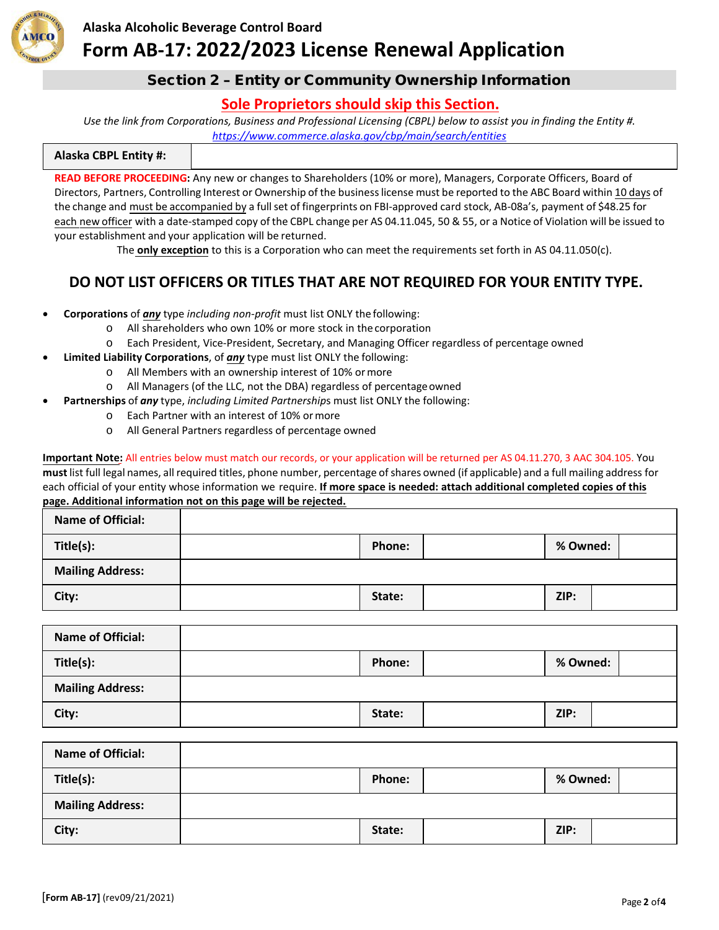

### **Alaska Alcoholic Beverage Control Board**

# **Form AB-17: 2022/2023 License Renewal Application**

### Section 2 – Entity or Community Ownership Information

## **Sole Proprietors should skip this Section.**

*Use the link from Corporations, Business and Professional Licensing (CBPL) below to assist you in finding the Entity #. <https://www.commerce.alaska.gov/cbp/main/search/entities>*

| <b>Alaska CBPL Entity #:</b> |  |
|------------------------------|--|
|------------------------------|--|

**READ BEFORE PROCEEDING:** Any new or changes to Shareholders (10% or more), Managers, Corporate Officers, Board of Directors, Partners, Controlling Interest or Ownership of the businesslicense must be reported to the ABC Board within 10 days of the change and must be accompanied by a full set of fingerprints on FBI-approved card stock, AB-08a's, payment of \$48.25 for each new officer with a date-stamped copy of the CBPL change per AS 04.11.045, 50 & 55, or a Notice of Violation will be issued to your establishment and your application will be returned.

The **only exception** to this is a Corporation who can meet the requirements set forth in AS 04.11.050(c).

## **DO NOT LIST OFFICERS OR TITLES THAT ARE NOT REQUIRED FOR YOUR ENTITY TYPE.**

- **Corporations** of *any* type *including non-profit* must list ONLY the following:
	- o All shareholders who own 10% or more stock in the corporation
	- o Each President, Vice-President, Secretary, and Managing Officer regardless of percentage owned
- **Limited Liability Corporations**, of *any* type must list ONLY the following:
	- o All Members with an ownership interest of 10% ormore
	- o All Managers (of the LLC, not the DBA) regardless of percentageowned
- **Partnerships** of *any* type, *including Limited Partnership*s must list ONLY the following:
	- o Each Partner with an interest of 10% ormore
	- o All General Partners regardless of percentage owned

**Important Note:** All entries below must match our records, or your application will be returned per AS 04.11.270, 3 AAC 304.105. You **must** list full legal names, all required titles, phone number, percentage ofshares owned (if applicable) and a full mailing address for each official of your entity whose information we require. **If more space is needed: attach additional completed copies of this page. Additional information not on this page will be rejected.**

| <b>Name of Official:</b> |        |      |          |
|--------------------------|--------|------|----------|
| Title(s):                | Phone: |      | % Owned: |
| <b>Mailing Address:</b>  |        |      |          |
| City:                    | State: | ZIP: |          |

| <b>Name of Official:</b> |               |          |  |
|--------------------------|---------------|----------|--|
| Title(s):                | <b>Phone:</b> | % Owned: |  |
| <b>Mailing Address:</b>  |               |          |  |
| City:                    | State:        | ZIP:     |  |

| <b>Name of Official:</b> |        |        |          |
|--------------------------|--------|--------|----------|
| Title(s):                |        | Phone: | % Owned: |
| <b>Mailing Address:</b>  |        |        |          |
| City:                    | State: |        | ZIP:     |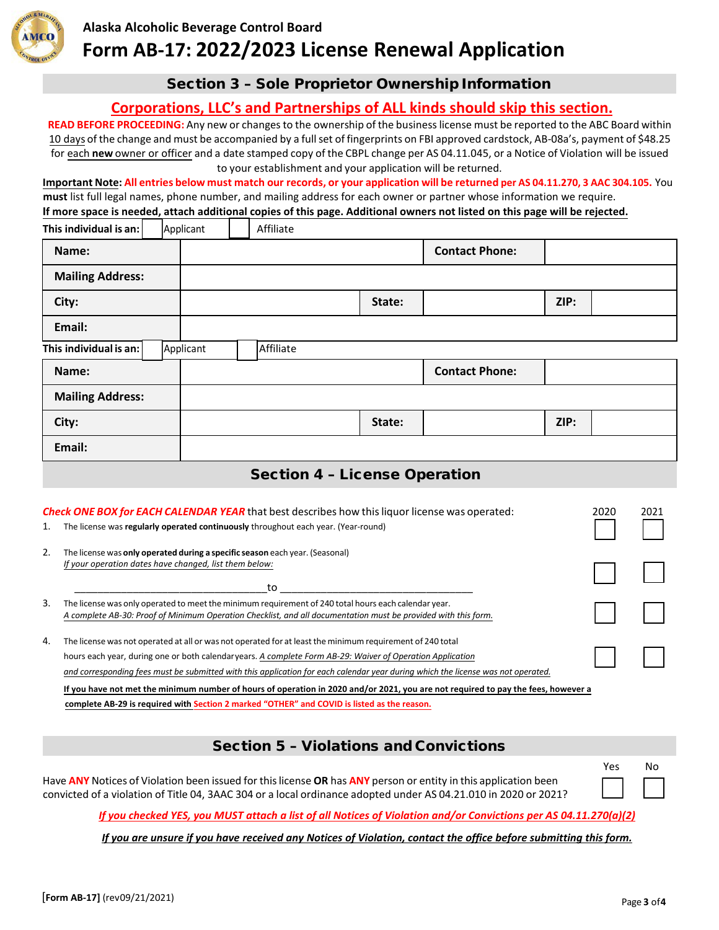

### **Alaska Alcoholic Beverage Control Board**

# **Form AB-17: 2022/2023 License Renewal Application**

### Section 3 – Sole Proprietor Ownership Information

### **Corporations, LLC's and Partnerships of ALL kinds should skip this section.**

**READ BEFORE PROCEEDING:** Any new or changesto the ownership of the businesslicense must be reported to the ABC Board within 10 days of the change and must be accompanied by a full set of fingerprints on FBI approved cardstock, AB-08a's, payment of \$48.25 for each **new** owner or officer and a date stamped copy of the CBPL change per AS 04.11.045, or a Notice of Violation will be issued to your establishment and your application will be returned.

Important Note: All entries below must match our records, or your application will be returned per AS 04.11.270, 3 AAC 304.105. You **must** list full legal names, phone number, and mailing address for each owner or partner whose information we require. **If more space is needed, attach additional copies of this page. Additional owners not listed on this page will be rejected.**

**This individual is an: |** Applicant | Affiliate **Name: Contact Phone: Mailing Address: City: State: ZIP: Email: This individual is an:** Applicant | Affiliate **Name: Contact Phone: Mailing Address: City: State: ZIP: Email:**

## Section 4 – License Operation

| 1. | <b>Check ONE BOX for EACH CALENDAR YEAR</b> that best describes how this liquor license was operated:<br>The license was regularly operated continuously throughout each year. (Year-round)                                                                                                                                                                                                                                                                                                     | 2020 | 2021 |
|----|-------------------------------------------------------------------------------------------------------------------------------------------------------------------------------------------------------------------------------------------------------------------------------------------------------------------------------------------------------------------------------------------------------------------------------------------------------------------------------------------------|------|------|
| 2. | The license was only operated during a specific season each year. (Seasonal)<br>If your operation dates have changed, list them below:<br>to                                                                                                                                                                                                                                                                                                                                                    |      |      |
| 3. | The license was only operated to meet the minimum requirement of 240 total hours each calendar year.<br>A complete AB-30: Proof of Minimum Operation Checklist, and all documentation must be provided with this form.                                                                                                                                                                                                                                                                          |      |      |
| 4. | The license was not operated at all or was not operated for at least the minimum requirement of 240 total<br>hours each year, during one or both calendaryears. A complete Form AB-29: Waiver of Operation Application<br>and corresponding fees must be submitted with this application for each calendar year during which the license was not operated.<br>If you have not met the minimum number of hours of operation in 2020 and/or 2021, you are not required to pay the fees, however a |      |      |

**complete AB-29 is required with Section 2 marked "OTHER" and COVID is listed as the reason.**

## Section 5 – Violations and Convictions

Have **ANY** Notices of Violation been issued for thislicense **OR** has **ANY** person or entity in this application been convicted of a violation of Title 04, 3AAC 304 or a local ordinance adopted under AS 04.21.010 in 2020 or 2021?

*If you checked YES, you MUST attach a list of all Notices of Violation and/or Convictions per AS 04.11.270(a)(2)*

*If you are unsure if you have received any Notices of Violation, contact the office before submitting this form.*

Yes No